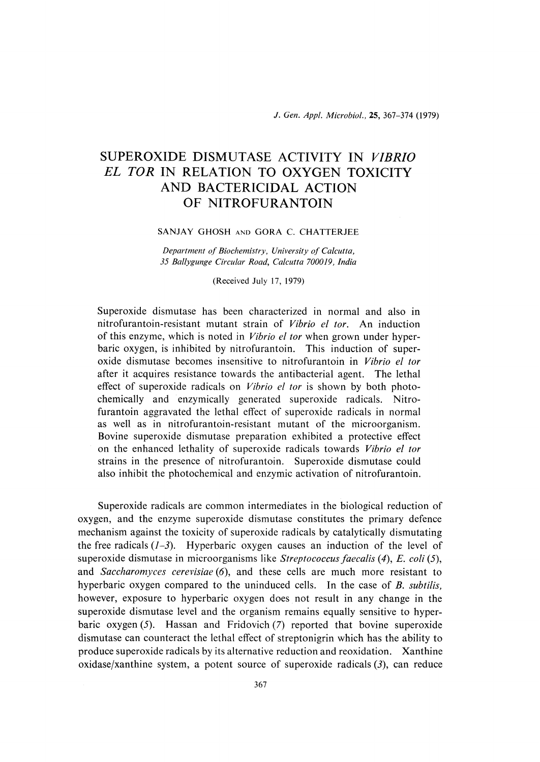# SUPEROXIDE DISMUTASE ACTIVITY IN VIBRIO EL TOR IN RELATION TO OXYGEN TOXICITY AND BACTERICIDAL ACTION OF NITROFURANTOIN

## SANJAY GHOSH AND GORA C. CHATTERJEE

Department of Biochemistry, University of Calcutta, 35 Ballygunge Circular Road, Calcutta 700019, India

(Received July 17, 1979)

Superoxide dismutase has been characterized in normal and also in nitrofurantoin-resistant mutant strain of Vibrio el tor. An induction of this enzyme, which is noted in *Vibrio el tor* when grown under hyperbaric oxygen, is inhibited by nitrofurantoin. This induction of superoxide dismutase becomes insensitive to nitrofurantoin in Vibrio el for after it acquires resistance towards the antibacterial agent. The lethal effect of superoxide radicals on *Vibrio el tor* is shown by both photochemically and enzymically generated superoxide radicals. Nitrofurantoin aggravated the lethal effect of superoxide radicals in normal as well as in nitrofurantoin-resistant mutant of the microorganism. Bovine superoxide dismutase preparation exhibited a protective effect on the enhanced lethality of superoxide radicals towards Vibrio el for strains in the presence of nitrofurantoin. Superoxide dismutase could also inhibit the photochemical and enzymic activation of nitrofurantoin.

 Superoxide radicals are common intermediates in the biological reduction of oxygen, and the enzyme superoxide dismutase constitutes the primary defence mechanism against the toxicity of superoxide radicals by catalytically dismutating the free radicals  $(1-3)$ . Hyperbaric oxygen causes an induction of the level of superoxide dismutase in microorganisms like *Streptococcus faecalis*  $(4)$ , *E. coli* (5), and Saccharomyces cerevisiae  $(6)$ , and these cells are much more resistant to hyperbaric oxygen compared to the uninduced cells. In the case of B. subtilis, however, exposure to hyperbaric oxygen does not result in any change in the superoxide dismutase level and the organism remains equally sensitive to hyperbaric oxygen  $(5)$ . Hassan and Fridovich  $(7)$  reported that bovine superoxide dismutase can counteract the lethal effect of streptonigrin which has the ability to produce superoxide radicals by its alternative reduction and reoxidation. Xanthine oxidase/xanthine system, a potent source of superoxide radicals  $(3)$ , can reduce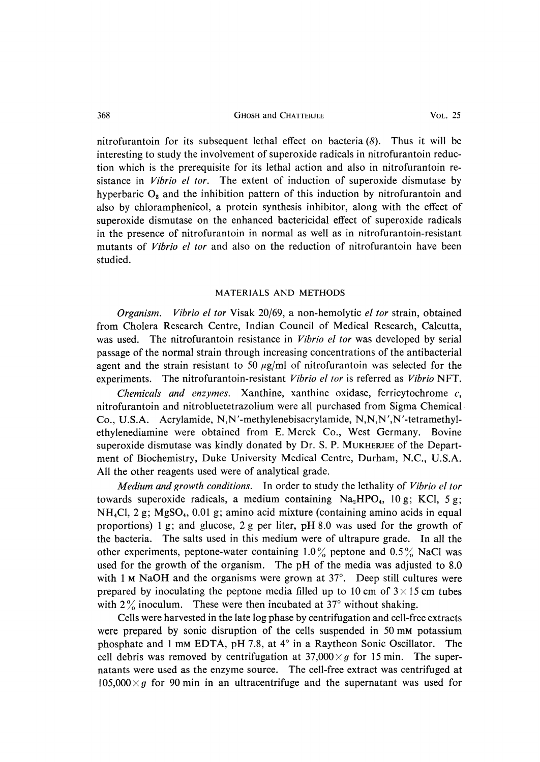#### 368 GHOSH and CHATTERJEE VOL. 25

nitrofurantoin for its subsequent lethal effect on bacteria  $(8)$ . Thus it will be interesting to study the involvement of superoxide radicals in nitrofurantoin reduction which is the prerequisite for its lethal action and also in nitrofurantoin resistance in *Vibrio el tor*. The extent of induction of superoxide dismutase by hyperbaric  $O_2$  and the inhibition pattern of this induction by nitrofurantoin and also by chloramphenicol, a protein synthesis inhibitor, along with the effect of superoxide dismutase on the enhanced bactericidal effect of superoxide radicals in the presence of nitrofurantoin in normal as well as in nitrofurantoin-resistant mutants of *Vibrio el tor* and also on the reduction of nitrofurantoin have been studied.

## MATERIALS AND METHODS

 Organism. Vibrio el for Visak 20/69, a non-hemolytic el for strain, obtained from Cholera Research Centre, Indian Council of Medical Research, Calcutta, was used. The nitrofurantoin resistance in *Vibrio el tor* was developed by serial passage of the normal strain through increasing concentrations of the antibacterial agent and the strain resistant to 50  $\mu$ g/ml of nitrofurantoin was selected for the experiments. The nitrofurantoin-resistant Vibrio el tor is referred as Vibrio NFT.

Chemicals and enzymes. Xanthine, xanthine oxidase, ferricytochrome c, nitrofurantoin and nitrobluetetrazolium were all purchased from Sigma Chemical Co., U.S.A. Acrylamide, N,N'-methylenebisacrylamide, N,N,N',N'-tetramethylethylenediamine were obtained from E. Merck Co., West Germany. Bovine superoxide dismutase was kindly donated by Dr. S. P. MUKHERJEE of the Department of Biochemistry, Duke University Medical Centre, Durham, N.C., U.S.A. All the other reagents used were of analytical grade.

Medium and growth conditions. In order to study the lethality of Vibrio el tor towards superoxide radicals, a medium containing  $Na<sub>2</sub>HPO<sub>4</sub>$ , 10 g; KCl, 5 g;  $NH<sub>4</sub>Cl$ , 2 g; MgSO<sub>4</sub>, 0.01 g; amino acid mixture (containing amino acids in equal proportions) 1 g; and glucose, 2 g per liter, pH 8.0 was used for the growth of the bacteria. The salts used in this medium were of ultrapure grade. In all the other experiments, peptone-water containing  $1.0\%$  peptone and  $0.5\%$  NaCl was used for the growth of the organism. The pH of the media was adjusted to 8.0 with 1 M NaOH and the organisms were grown at  $37^\circ$ . Deep still cultures were prepared by inoculating the peptone media filled up to 10 cm of  $3 \times 15$  cm tubes with  $2\%$  inoculum. These were then incubated at  $37^{\circ}$  without shaking.

Cells were harvested in the late log phase by centrifugation and cell-free extracts were prepared by sonic disruption of the cells suspended in 50 mm potassium phosphate and 1 mm EDTA, pH 7.8, at 4° in a Raytheon Sonic Oscillator. The cell debris was removed by centrifugation at  $37,000 \times g$  for 15 min. The supernatants were used as the enzyme source. The cell-free extract was centrifuged at  $105,000 \times g$  for 90 min in an ultracentrifuge and the supernatant was used for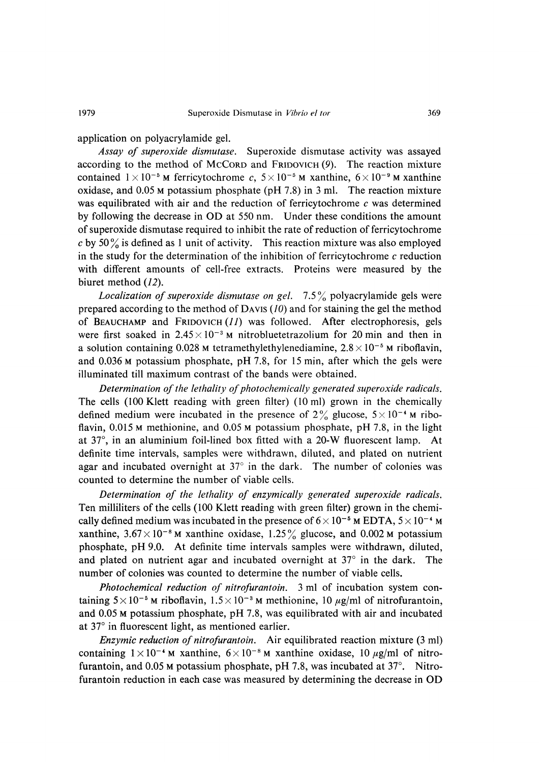application on polyacrylamide gel.

Assay of superoxide dismutase. Superoxide dismutase activity was assayed according to the method of MCCoRD and FRID0vICH (9). The reaction mixture contained  $1 \times 10^{-5}$  M ferricytochrome c,  $5 \times 10^{-5}$  M xanthine,  $6 \times 10^{-9}$  M xanthine oxidase, and 0.05 M potassium phosphate (pH 7.8) in 3 ml. The reaction mixture was equilibrated with air and the reduction of ferricytochrome  $c$  was determined by following the decrease in OD at 550 nm. Under these conditions the amount of superoxide dismutase required to inhibit the rate of reduction of ferricytochrome c by 50 % is defined as 1 unit of activity. This reaction mixture was also employed in the study for the determination of the inhibition of ferricytochrome  $c$  reduction with different amounts of cell-free extracts. Proteins were measured by the biuret method (12).

Localization of superoxide dismutase on gel.  $7.5\%$  polyacrylamide gels were prepared according to the method of DAVIS (10) and for staining the gel the method of BEAUCHAMP and FRID0vICH (11) was followed. After electrophoresis, gels were first soaked in  $2.45 \times 10^{-3}$  M nitrobluetetrazolium for 20 min and then in a solution containing 0.028 M tetramethylethylenediamine,  $2.8 \times 10^{-5}$  M riboflavin, and 0.036 M potassium phosphate, pH 7.8, for 15 min, after which the gels were illuminated till maximum contrast of the bands were obtained.

Determination of the lethality of photochemically generated superoxide radicals. The cells (100 Klett reading with green filter) (10 ml) grown in the chemically defined medium were incubated in the presence of  $2\%$  glucose,  $5 \times 10^{-4}$  M riboflavin, 0.015 M methionine, and 0.05 M potassium phosphate, pH 7.8, in the light at 37°, in an aluminium foil-lined box fitted with a 20-W fluorescent lamp. At definite time intervals, samples were withdrawn, diluted, and plated on nutrient agar and incubated overnight at  $37^{\circ}$  in the dark. The number of colonies was counted to determine the number of viable cells.

Determination of the lethality of enzymically generated superoxide radicals. Ten milliliters of the cells (100 Klett reading with green filter) grown in the chemically defined medium was incubated in the presence of  $6 \times 10^{-5}$  M EDTA,  $5 \times 10^{-4}$  M xanthine,  $3.67 \times 10^{-8}$  M xanthine oxidase,  $1.25\%$  glucose, and 0.002 M potassium phosphate, pH 9.0. At definite time intervals samples were withdrawn, diluted, and plated on nutrient agar and incubated overnight at 37° in the dark. The number of colonies was counted to determine the number of viable cells.

Photochemical reduction of nitrofurantoin. 3 ml of incubation system containing  $5 \times 10^{-5}$  M riboflavin,  $1.5 \times 10^{-3}$  M methionine, 10  $\mu$ g/ml of nitrofurantoin, and 0.05 M potassium phosphate, pH 7.8, was equilibrated with air and incubated at 37° in fluorescent light, as mentioned earlier.

Enzymic reduction of nitrofurantoin. Air equilibrated reaction mixture (3 ml) containing  $1 \times 10^{-4}$  M xanthine,  $6 \times 10^{-8}$  M xanthine oxidase, 10  $\mu$ g/ml of nitrofurantoin, and 0.05 M potassium phosphate, pH 7.8, was incubated at  $37^{\circ}$ . Nitrofurantoin reduction in each case was measured by determining the decrease in OD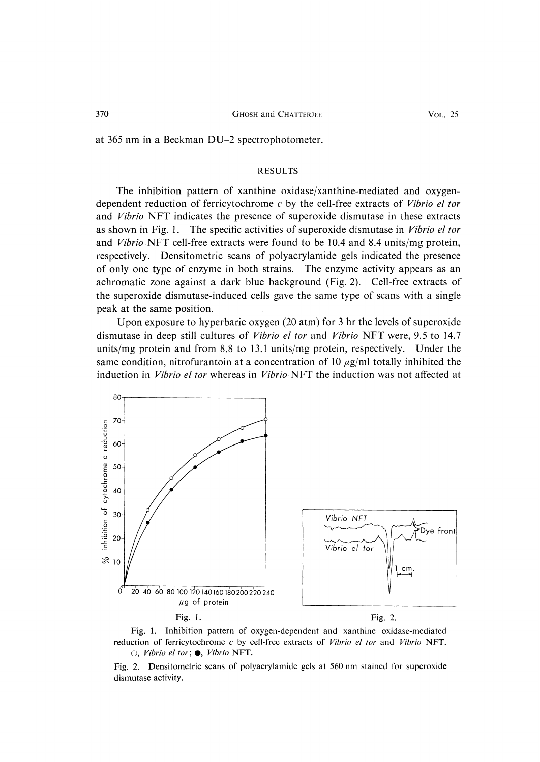at 365 nm in a Beckman DU-2 spectrophotometer.

#### RESULTS

 The inhibition pattern of xanthine oxidase/xanthine-mediated and oxygendependent reduction of ferricytochrome c by the cell-free extracts of *Vibrio el tor* and Vibrio NFT indicates the presence of superoxide dismutase in these extracts as shown in Fig. 1. The specific activities of superoxide dismutase in Vibrio el for and Vibrio NFT cell-free extracts were found to be 10.4 and 8.4 units/mg protein, respectively. Densitometric scans of polyacrylamide gels indicated the presence of only one type of enzyme in both strains. The enzyme activity appears as an achromatic zone against a dark blue background (Fig. 2). Cell-free extracts of the superoxide dismutase-induced cells gave the same type of scans with a single peak at the same position.

Upon exposure to hyperbaric oxygen (20 atm) for 3 hr the levels of superoxide dismutase in deep still cultures of Vibrio el for and Vibrio NFT were, 9.5 to 14.7 units/mg protein and from 8.8 to 13.1 units/mg protein, respectively. Under the same condition, nitrofurantoin at a concentration of 10  $\mu$ g/ml totally inhibited the induction in Vibrio el tor whereas in Vibrio NFT the induction was not affected at



 Fig. 1. Inhibition pattern of oxygen-dependent and xanthine oxidase-mediated reduction of ferricytochrome  $c$  by cell-free extracts of *Vibrio el tor* and *Vibrio* NFT.  $\bigcirc$ , Vibrio el tor;  $\bullet$ , Vibrio NFT.

Fig. 2. Densitometric scans of polyacrylamide gels at 560 nm stained for superoxide dismutase activity.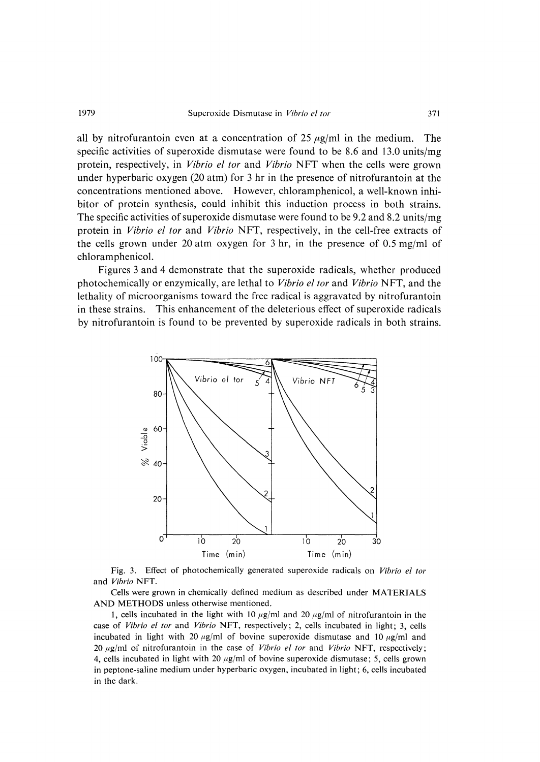### 1979 Superoxide Dismutase in Vibrio el tor

all by nitrofurantoin even at a concentration of 25  $\mu$ g/ml in the medium. The specific activities of superoxide dismutase were found to be 8.6 and 13.0 units/mg protein, respectively, in *Vibrio el tor* and *Vibrio* NFT when the cells were grown under hyperbaric oxygen (20 atm) for 3 hr in the presence of nitrofurantoin at the concentrations mentioned above. However, chloramphenicol, a well-known inhibitor of protein synthesis, could inhibit this induction process in both strains. The specific activities of superoxide dismutase were found to be 9.2 and 8.2 units/mg protein in Vibrio el tor and Vibrio NFT, respectively, in the cell-free extracts of the cells grown under 20 atm oxygen for 3 hr, in the presence of 0.5 mg/ml of chloramphenicol.

 Figures 3 and 4 demonstrate that the superoxide radicals, whether produced photochemically or enzymically, are lethal to *Vibrio el tor* and *Vibrio* NFT, and the lethality of microorganisms toward the free radical is aggravated by nitrofurantoin in these strains. This enhancement of the deleterious effect of superoxide radicals by nitrofurantoin is found to be prevented by superoxide radicals in both strains.



Fig. 3. Effect of photochemically generated superoxide radicals on Vibrio el tor and Vibrio NFT.

Cells were grown in chemically defined medium as described under MATERIALS AND METHODS unless otherwise mentioned.

1, cells incubated in the light with 10  $\mu$ g/ml and 20  $\mu$ g/ml of nitrofurantoin in the case of Vibrio el tor and Vibrio NFT, respectively; 2, cells incubated in light; 3, cells incubated in light with 20  $\mu$ g/ml of bovine superoxide dismutase and 10  $\mu$ g/ml and 20  $\mu$ g/ml of nitrofurantoin in the case of *Vibrio el tor* and *Vibrio* NFT, respectively; 4, cells incubated in light with 20  $\mu$ g/ml of bovine superoxide dismutase; 5, cells grown in peptone-saline medium under hyperbaric oxygen, incubated in light; 6, cells incubated in the dark.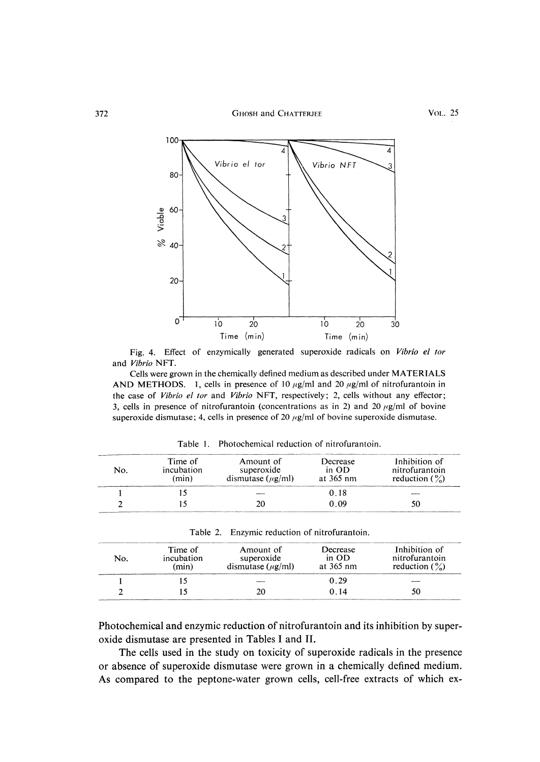372 **GHOSH and CHATTERJEE** VOL. 25



Fig. 4. Effect of enzymically generated superoxide radicals on Vibrio el tor and Vibrio NFT.

Cells were grown in the chemically defined medium as described under MATERIALS AND METHODS. 1, cells in presence of 10  $\mu$ g/ml and 20  $\mu$ g/ml of nitrofurantoin in the case of Vibrio el tor and Vibrio NFT, respectively; 2, cells without any effector; 3, cells in presence of nitrofurantoin (concentrations as in 2) and 20  $\mu$ g/ml of bovine superoxide dismutase; 4, cells in presence of 20  $\mu$ g/ml of bovine superoxide dismutase.

| No. | Time of<br>incubation<br>(min) | Amount of<br>superoxide<br>dismutase $(\mu$ g/ml) | Decrease<br>in OD<br>at 365 nm | Inhibition of<br>nitrofurantoin<br>reduction $\binom{9}{0}$ |
|-----|--------------------------------|---------------------------------------------------|--------------------------------|-------------------------------------------------------------|
|     |                                |                                                   | או נ                           |                                                             |
|     |                                |                                                   | O O9                           |                                                             |

| Photochemical reduction of nitrofurantoin. |  |  | Table 1. |  |  |  |  |  |
|--------------------------------------------|--|--|----------|--|--|--|--|--|
|--------------------------------------------|--|--|----------|--|--|--|--|--|

|  |  | Fable 2. Enzymic reduction of nitrofurantoin. |
|--|--|-----------------------------------------------|
|  |  |                                               |

| No. | Time of<br>incubation<br>(min) | Amount of<br>superoxide<br>dismutase $(\mu g/ml)$ | Decrease<br>in OD<br>at 365 nm | Inhibition of<br>nitrofurantoin<br>reduction $\binom{9}{0}$ |
|-----|--------------------------------|---------------------------------------------------|--------------------------------|-------------------------------------------------------------|
|     |                                |                                                   | 0.29                           |                                                             |
|     |                                |                                                   | () 14                          |                                                             |

Photochemical and enzymic reduction of nitrofurantoin and its inhibition by superoxide dismutase are presented in Tables I and II.

The cells used in the study on toxicity of superoxide radicals in the presence or absence of superoxide dismutase were grown in a chemically defined medium. As compared to the peptone-water grown cells, cell-free extracts of which ex-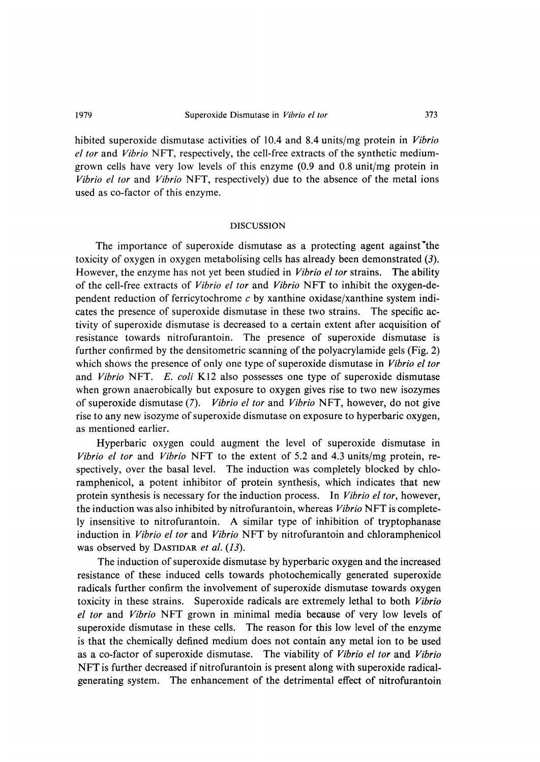## 1979 Superoxide Dismutase in *Vibrio el tor* 373

hibited superoxide dismutase activities of 10.4 and 8.4 units/mg protein in *Vibrio* el tor and Vibrio NFT, respectively, the cell-free extracts of the synthetic mediumgrown cells have very low levels of this enzyme (0.9 and 0.8 unit/mg protein in Vibrio el tor and Vibrio NFT, respectively) due to the absence of the metal ions used as co-factor of this enzyme.

## DISCUSSION

The importance of superoxide dismutase as a protecting agent against the toxicity of oxygen in oxygen metabolising cells has already been demonstrated (3). However, the enzyme has not yet been studied in *Vibrio el tor* strains. The ability of the cell-free extracts of Vibrio el for and Vibrio NFT to inhibit the oxygen-dependent reduction of ferricytochrome  $c$  by xanthine oxidase/xanthine system indicates the presence of superoxide dismutase in these two strains. The specific activity of superoxide dismutase is decreased to a certain extent after acquisition of resistance towards nitrofurantoin. The presence of superoxide dismutase is further confirmed by the densitometric scanning of the polyacrylamide gels (Fig. 2) which shows the presence of only one type of superoxide dismutase in *Vibrio el tor* and Vibrio NFT. E. coli K12 also possesses one type of superoxide dismutase when grown anaerobically but exposure to oxygen gives rise to two new isozymes of superoxide dismutase (7). Vibrio el for and Vibrio NFT, however, do not give rise to any new isozyme of superoxide dismutase on exposure to hyperbaric oxygen, as mentioned earlier.

Hyperbaric oxygen could augment the level of superoxide dismutase in Vibrio el tor and Vibrio NFT to the extent of 5.2 and 4.3 units/mg protein, respectively, over the basal level. The induction was completely blocked by chloramphenicol, a potent inhibitor of protein synthesis, which indicates that new protein synthesis is necessary for the induction process. In Vibrio el tor, however, the induction was also inhibited by nitrofurantoin, whereas Vibrio NFT is completely insensitive to nitrofurantoin. A similar type of inhibition of tryptophanase induction in Vibrio el tor and Vibrio NFT by nitrofurantoin and chloramphenicol was observed by DASTIDAR et al. (13).

The induction of superoxide dismutase by hyperbaric oxygen and the increased resistance of these induced cells towards photochemically generated superoxide radicals further confirm the involvement of superoxide dismutase towards oxygen toxicity in these strains. Superoxide radicals are extremely lethal to both Vibrio el tor and Vibrio NFT grown in minimal media because of very low levels of superoxide dismutase in these cells. The reason for this low level of the enzyme is that the chemically defined medium does not contain any metal ion to be used as a co-factor of superoxide dismutase. The viability of Vibrio el tor and Vibrio NFT is further decreased if nitrofurantoin is present along with superoxide radicalgenerating system. The enhancement of the detrimental effect of nitrofurantoin